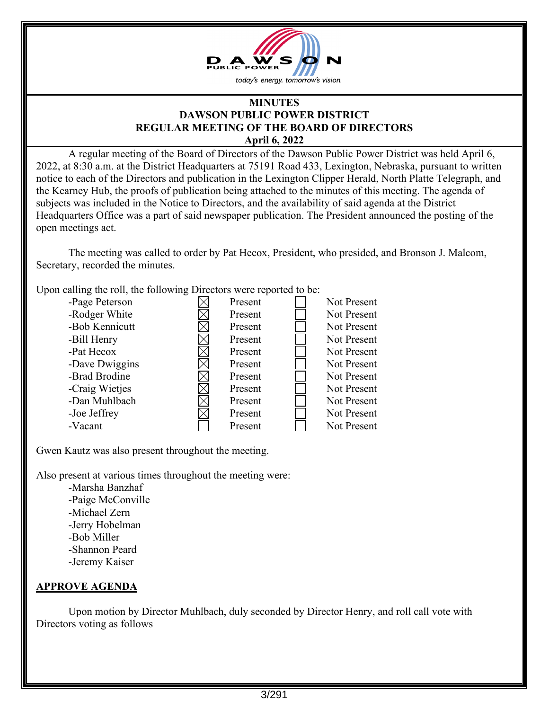

#### **MINUTES DAWSON PUBLIC POWER DISTRICT REGULAR MEETING OF THE BOARD OF DIRECTORS April 6, 2022**

 A regular meeting of the Board of Directors of the Dawson Public Power District was held April 6, 2022, at 8:30 a.m. at the District Headquarters at 75191 Road 433, Lexington, Nebraska, pursuant to written notice to each of the Directors and publication in the Lexington Clipper Herald, North Platte Telegraph, and the Kearney Hub, the proofs of publication being attached to the minutes of this meeting. The agenda of subjects was included in the Notice to Directors, and the availability of said agenda at the District Headquarters Office was a part of said newspaper publication. The President announced the posting of the open meetings act.

The meeting was called to order by Pat Hecox, President, who presided, and Bronson J. Malcom, Secretary, recorded the minutes.

Upon calling the roll, the following Directors were reported to be:

| -Page Peterson | Present | Not Present |
|----------------|---------|-------------|
| -Rodger White  | Present | Not Present |
| -Bob Kennicutt | Present | Not Present |
| -Bill Henry    | Present | Not Present |
| -Pat Hecox     | Present | Not Present |
| -Dave Dwiggins | Present | Not Present |
| -Brad Brodine  | Present | Not Present |
| -Craig Wietjes | Present | Not Present |
| -Dan Muhlbach  | Present | Not Present |
| -Joe Jeffrey   | Present | Not Present |
| -Vacant        | Present | Not Present |

Gwen Kautz was also present throughout the meeting.

Also present at various times throughout the meeting were:

 -Marsha Banzhaf -Paige McConville -Michael Zern -Jerry Hobelman -Bob Miller -Shannon Peard -Jeremy Kaiser

## **APPROVE AGENDA**

 Upon motion by Director Muhlbach, duly seconded by Director Henry, and roll call vote with Directors voting as follows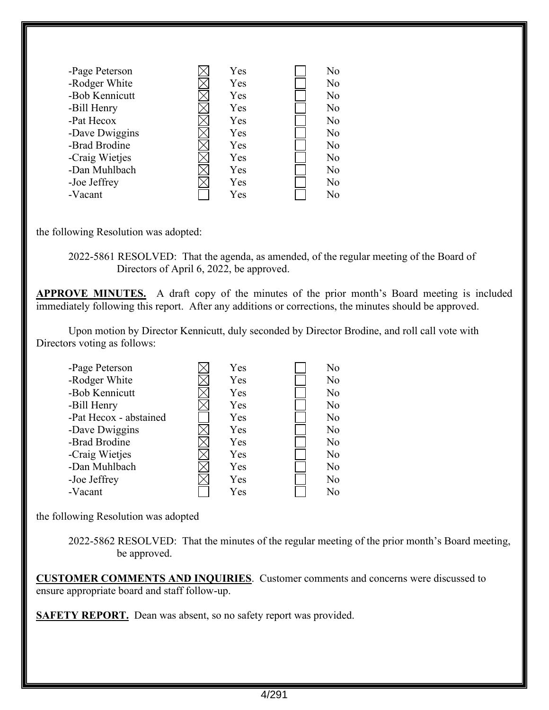| -Page Peterson | Yes | No             |
|----------------|-----|----------------|
| -Rodger White  | Yes | N <sub>o</sub> |
| -Bob Kennicutt | Yes | No             |
| -Bill Henry    | Yes | No             |
| -Pat Hecox     | Yes | No             |
| -Dave Dwiggins | Yes | N <sub>o</sub> |
| -Brad Brodine  | Yes | No             |
| -Craig Wietjes | Yes | No             |
| -Dan Muhlbach  | Yes | N <sub>o</sub> |
| -Joe Jeffrey   | Yes | No             |
| -Vacant        | Yes | No             |

the following Resolution was adopted:

 2022-5861 RESOLVED: That the agenda, as amended, of the regular meeting of the Board of Directors of April 6, 2022, be approved.

**APPROVE MINUTES.** A draft copy of the minutes of the prior month's Board meeting is included immediately following this report. After any additions or corrections, the minutes should be approved.

 Upon motion by Director Kennicutt, duly seconded by Director Brodine, and roll call vote with Directors voting as follows:

| -Page Peterson         | Yes | N <sub>o</sub> |
|------------------------|-----|----------------|
| -Rodger White          | Yes | No             |
| -Bob Kennicutt         | Yes | N <sub>o</sub> |
| -Bill Henry            | Yes | No             |
| -Pat Hecox - abstained | Yes | N <sub>o</sub> |
| -Dave Dwiggins         | Yes | No             |
| -Brad Brodine          | Yes | No             |
| -Craig Wietjes         | Yes | No             |
| -Dan Muhlbach          | Yes | No             |
| -Joe Jeffrey           | Yes | No             |
| -Vacant                | Yes | No             |

the following Resolution was adopted

 2022-5862 RESOLVED: That the minutes of the regular meeting of the prior month's Board meeting, be approved.

**CUSTOMER COMMENTS AND INQUIRIES**. Customer comments and concerns were discussed to ensure appropriate board and staff follow-up.

**SAFETY REPORT.** Dean was absent, so no safety report was provided.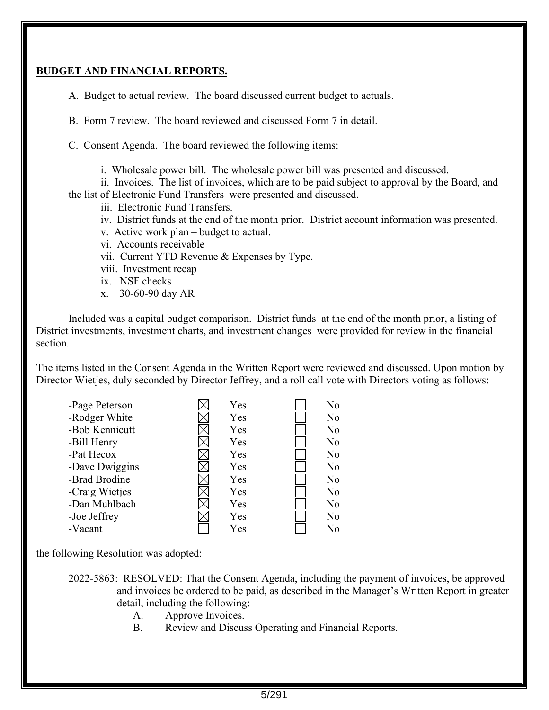#### **BUDGET AND FINANCIAL REPORTS.**

A. Budget to actual review. The board discussed current budget to actuals.

B. Form 7 review. The board reviewed and discussed Form 7 in detail.

C. Consent Agenda. The board reviewed the following items:

i. Wholesale power bill. The wholesale power bill was presented and discussed.

ii. Invoices. The list of invoices, which are to be paid subject to approval by the Board, and the list of Electronic Fund Transfers were presented and discussed.

iii. Electronic Fund Transfers.

- iv. District funds at the end of the month prior. District account information was presented.
- v. Active work plan budget to actual.
- vi. Accounts receivable
- vii. Current YTD Revenue & Expenses by Type.
- viii. Investment recap
- ix. NSF checks
- x. 30-60-90 day AR

 Included was a capital budget comparison. District funds at the end of the month prior, a listing of District investments, investment charts, and investment changes were provided for review in the financial section.

The items listed in the Consent Agenda in the Written Report were reviewed and discussed. Upon motion by Director Wietjes, duly seconded by Director Jeffrey, and a roll call vote with Directors voting as follows:

| -Page Peterson | Yes | No |
|----------------|-----|----|
| -Rodger White  | Yes | No |
| -Bob Kennicutt | Yes | No |
| -Bill Henry    | Yes | No |
| -Pat Hecox     | Yes | No |
| -Dave Dwiggins | Yes | No |
| -Brad Brodine  | Yes | No |
| -Craig Wietjes | Yes | No |
| -Dan Muhlbach  | Yes | No |
| -Joe Jeffrey   | Yes | No |
| -Vacant        | Yes | No |

the following Resolution was adopted:

2022-5863: RESOLVED: That the Consent Agenda, including the payment of invoices, be approved and invoices be ordered to be paid, as described in the Manager's Written Report in greater detail, including the following:

- A. Approve Invoices.
- B. Review and Discuss Operating and Financial Reports.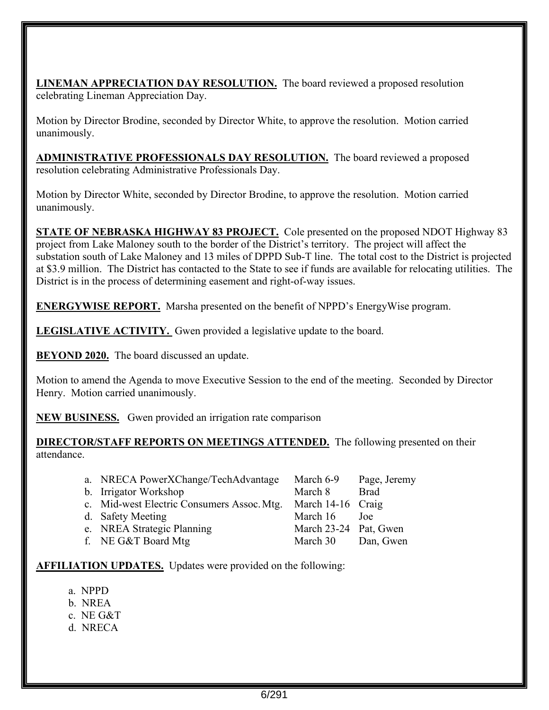**LINEMAN APPRECIATION DAY RESOLUTION.** The board reviewed a proposed resolution celebrating Lineman Appreciation Day.

Motion by Director Brodine, seconded by Director White, to approve the resolution. Motion carried unanimously.

**ADMINISTRATIVE PROFESSIONALS DAY RESOLUTION.** The board reviewed a proposed resolution celebrating Administrative Professionals Day.

Motion by Director White, seconded by Director Brodine, to approve the resolution. Motion carried unanimously.

**STATE OF NEBRASKA HIGHWAY 83 PROJECT.** Cole presented on the proposed NDOT Highway 83 project from Lake Maloney south to the border of the District's territory. The project will affect the substation south of Lake Maloney and 13 miles of DPPD Sub-T line. The total cost to the District is projected at \$3.9 million. The District has contacted to the State to see if funds are available for relocating utilities. The District is in the process of determining easement and right-of-way issues.

**ENERGYWISE REPORT.** Marsha presented on the benefit of NPPD's EnergyWise program.

**LEGISLATIVE ACTIVITY.** Gwen provided a legislative update to the board.

**BEYOND 2020.** The board discussed an update.

Motion to amend the Agenda to move Executive Session to the end of the meeting. Seconded by Director Henry. Motion carried unanimously.

**NEW BUSINESS.** Gwen provided an irrigation rate comparison

**DIRECTOR/STAFF REPORTS ON MEETINGS ATTENDED.** The following presented on their attendance.

| a. NRECA PowerXChange/TechAdvantage                          | March 6-9             | Page, Jeremy |
|--------------------------------------------------------------|-----------------------|--------------|
| b. Irrigator Workshop                                        | March 8               | <b>Brad</b>  |
| c. Mid-west Electric Consumers Assoc. Mtg. March 14-16 Craig |                       |              |
| d. Safety Meeting                                            | March 16              | Joe          |
| e. NREA Strategic Planning                                   | March 23-24 Pat, Gwen |              |
| f. NE G&T Board Mtg                                          | March 30              | Dan, Gwen    |

**AFFILIATION UPDATES.** Updates were provided on the following:

- a. NPPD
- b. NREA
- c. NE G&T
- d. NRECA